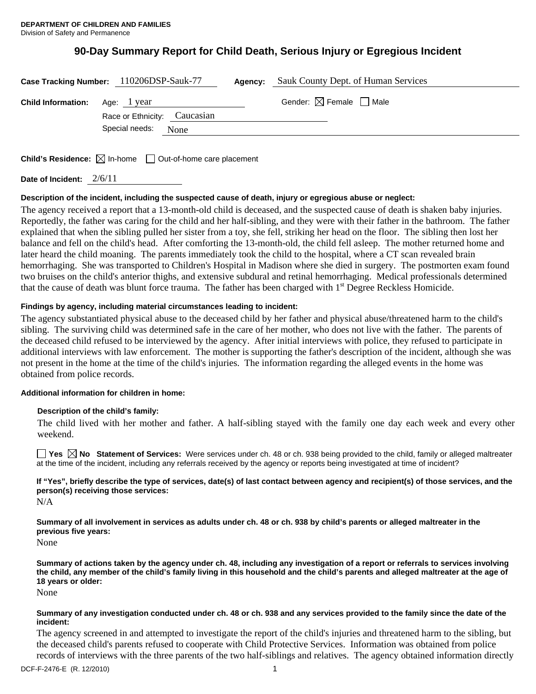# **90-Day Summary Report for Child Death, Serious Injury or Egregious Incident**

| Case Tracking Number: 110206DSP-Sauk-77                               | Agency: | Sauk County Dept. of Human Services    |  |
|-----------------------------------------------------------------------|---------|----------------------------------------|--|
| <b>Child Information:</b> Age: 1 year<br>Race or Ethnicity: Caucasian |         | Gender: $\boxtimes$ Female $\Box$ Male |  |
| Special needs: None                                                   |         |                                        |  |
|                                                                       |         |                                        |  |

**Child's Residence:**  $\boxtimes$  In-home  $\Box$  Out-of-home care placement

**Date of Incident:** 2/6/11

## **Description of the incident, including the suspected cause of death, injury or egregious abuse or neglect:**

The agency received a report that a 13-month-old child is deceased, and the suspected cause of death is shaken baby injuries. Reportedly, the father was caring for the child and her half-sibling, and they were with their father in the bathroom. The father explained that when the sibling pulled her sister from a toy, she fell, striking her head on the floor. The sibling then lost her balance and fell on the child's head. After comforting the 13-month-old, the child fell asleep. The mother returned home and later heard the child moaning. The parents immediately took the child to the hospital, where a CT scan revealed brain hemorrhaging. She was transported to Children's Hospital in Madison where she died in surgery. The postmorten exam found two bruises on the child's anterior thighs, and extensive subdural and retinal hemorrhaging. Medical professionals determined that the cause of death was blunt force trauma. The father has been charged with 1<sup>st</sup> Degree Reckless Homicide.

## **Findings by agency, including material circumstances leading to incident:**

The agency substantiated physical abuse to the deceased child by her father and physical abuse/threatened harm to the child's sibling. The surviving child was determined safe in the care of her mother, who does not live with the father. The parents of the deceased child refused to be interviewed by the agency. After initial interviews with police, they refused to participate in additional interviews with law enforcement. The mother is supporting the father's description of the incident, although she was not present in the home at the time of the child's injuries. The information regarding the alleged events in the home was obtained from police records.

## **Additional information for children in home:**

## **Description of the child's family:**

 The child lived with her mother and father. A half-sibling stayed with the family one day each week and every other weekend.

**Yes**  $\boxtimes$  **No** Statement of Services: Were services under ch. 48 or ch. 938 being provided to the child, family or alleged maltreater at the time of the incident, including any referrals received by the agency or reports being investigated at time of incident?

**If "Yes", briefly describe the type of services, date(s) of last contact between agency and recipient(s) of those services, and the person(s) receiving those services:** 

N/A

**Summary of all involvement in services as adults under ch. 48 or ch. 938 by child's parents or alleged maltreater in the previous five years:** 

None

**Summary of actions taken by the agency under ch. 48, including any investigation of a report or referrals to services involving the child, any member of the child's family living in this household and the child's parents and alleged maltreater at the age of 18 years or older:** 

None

### **Summary of any investigation conducted under ch. 48 or ch. 938 and any services provided to the family since the date of the incident:**

The agency screened in and attempted to investigate the report of the child's injuries and threatened harm to the sibling, but the deceased child's parents refused to cooperate with Child Protective Services. Information was obtained from police records of interviews with the three parents of the two half-siblings and relatives. The agency obtained information directly